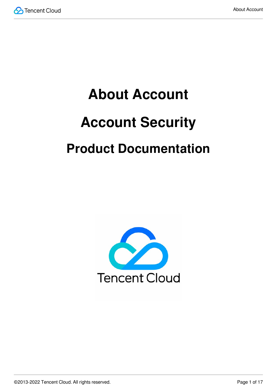

# **About Account Account Security Product Documentation**

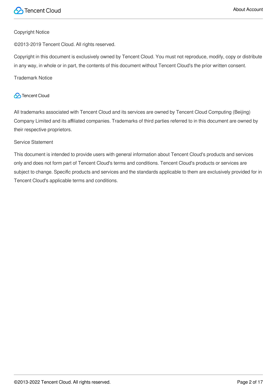

#### Copyright Notice

©2013-2019 Tencent Cloud. All rights reserved.

Copyright in this document is exclusively owned by Tencent Cloud. You must not reproduce, modify, copy or distribute in any way, in whole or in part, the contents of this document without Tencent Cloud's the prior written consent.

Trademark Notice

#### **C** Tencent Cloud

All trademarks associated with Tencent Cloud and its services are owned by Tencent Cloud Computing (Beijing) Company Limited and its affiliated companies. Trademarks of third parties referred to in this document are owned by their respective proprietors.

#### Service Statement

This document is intended to provide users with general information about Tencent Cloud's products and services only and does not form part of Tencent Cloud's terms and conditions. Tencent Cloud's products or services are subject to change. Specific products and services and the standards applicable to them are exclusively provided for in Tencent Cloud's applicable terms and conditions.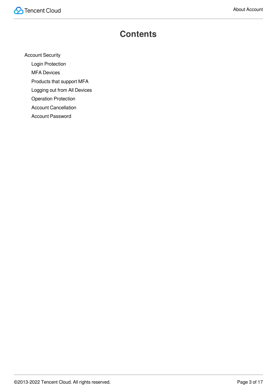### **Contents**

[Account](#page-3-0) Security

Login [Protection](#page-3-1)

MFA [Devices](#page-5-0)

[Products](#page-8-0) that support MFA

[Logging](#page-11-0) out from All Devices

Operation [Protection](#page-12-0)

Account [Cancellation](#page-14-0)

Account [Password](#page-16-0)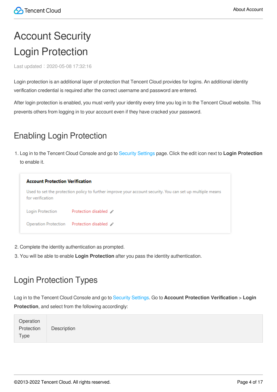# <span id="page-3-1"></span><span id="page-3-0"></span>Account Security Login Protection

Last updated:2020-05-08 17:32:16

Login protection is an additional layer of protection that Tencent Cloud provides for logins. An additional identity verification credential is required after the correct username and password are entered.

After login protection is enabled, you must verify your identity every time you log in to the Tencent Cloud website. This prevents others from logging in to your account even if they have cracked your password.

### Enabling Login Protection

1. Log in to the Tencent Cloud Console and go to Security [Settings](https://console.intl.cloud.tencent.com/developer/security) page. Click the edit icon next to **Login Protection** to enable it.



- 2. Complete the identity authentication as prompted.
- 3. You will be able to enable **Login Protection** after you pass the identity authentication.

### Login Protection Types

Log in to the Tencent Cloud Console and go to [Security](https://console.intl.cloud.tencent.com/developer/security) Settings. Go to **Account Protection Verification** > **Login Protection**, and select from the following accordingly:

| Operation   |             |
|-------------|-------------|
| Protection  | Description |
| <b>Type</b> |             |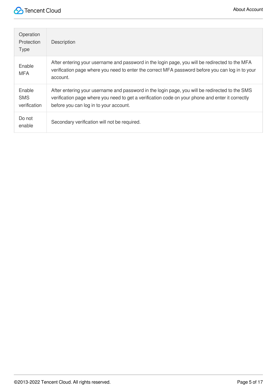| Operation<br>Protection<br><b>Type</b> | Description                                                                                                                                                                                                                                  |
|----------------------------------------|----------------------------------------------------------------------------------------------------------------------------------------------------------------------------------------------------------------------------------------------|
| Enable<br><b>MFA</b>                   | After entering your username and password in the login page, you will be redirected to the MFA<br>verification page where you need to enter the correct MFA password before you can log in to your<br>account.                               |
| Enable<br><b>SMS</b><br>verification   | After entering your username and password in the login page, you will be redirected to the SMS<br>verification page where you need to get a verification code on your phone and enter it correctly<br>before you can log in to your account. |
| Do not<br>enable                       | Secondary verification will not be required.                                                                                                                                                                                                 |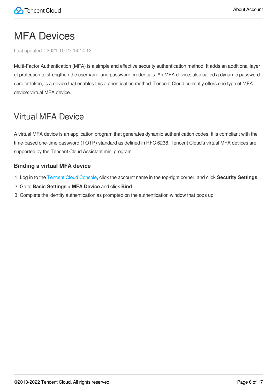# <span id="page-5-0"></span>MFA Devices

Last updated:2021-10-27 14:14:13

Multi-Factor Authentication (MFA) is a simple and effective security authentication method. It adds an additional layer of protection to strengthen the username and password credentials. An MFA device, also called a dynamic password card or token, is a device that enables this authentication method. Tencent Cloud currently offers one type of MFA device: virtual MFA device.

### Virtual MFA Device

A virtual MFA device is an application program that generates dynamic authentication codes. It is compliant with the time-based one-time password (TOTP) standard as defined in RFC 6238. Tencent Cloud's virtual MFA devices are supported by the Tencent Cloud Assistant mini program.

#### **Binding a virtual MFA device**

- 1. Log in to the [Tencent](https://console.intl.cloud.tencent.com/) Cloud Console, click the account name in the top-right corner, and click **Security Settings**.
- 2. Go to **Basic Settings** > **MFA Device** and click **Bind**.
- 3. Complete the identity authentication as prompted on the authentication window that pops up.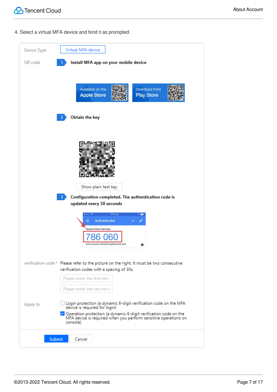4. Select a virtual MFA device and bind it as prompted.

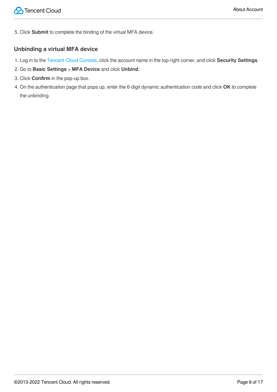5. Click **Submit** to complete the binding of the virtual MFA device.

#### **Unbinding a virtual MFA device**

- 1. Log in to the [Tencent](https://console.intl.cloud.tencent.com/) Cloud Console, click the account name in the top-right corner, and click **Security Settings**.
- 2. Go to **Basic Settings** > **MFA Device** and click **Unbind**.
- 3. Click **Confirm** in the pop-up box.
- 4. On the authentication page that pops up, enter the 6-digit dynamic authentication code and click **OK** to complete the unbinding.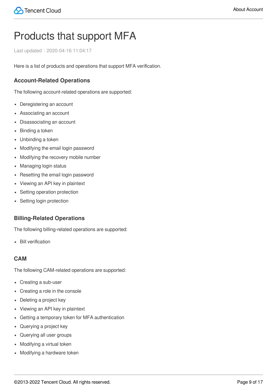# <span id="page-8-0"></span>Products that support MFA

Last updated:2020-04-16 11:04:17

Here is a list of products and operations that support MFA verification.

#### **Account-Related Operations**

The following account-related operations are supported:

- Deregistering an account
- Associating an account
- Disassociating an account
- Binding a token
- Unbinding a token
- Modifying the email login password
- Modifying the recovery mobile number
- Managing login status
- Resetting the email login password
- Viewing an API key in plaintext
- Setting operation protection
- Setting login protection

#### **Billing-Related Operations**

The following billing-related operations are supported:

• Bill verification

#### **CAM**

The following CAM-related operations are supported:

- Creating a sub-user
- Creating a role in the console
- Deleting a project key
- Viewing an API key in plaintext
- Getting a temporary token for MFA authentication
- Querying a project key
- Querying all user groups
- Modifying a virtual token
- Modifying a hardware token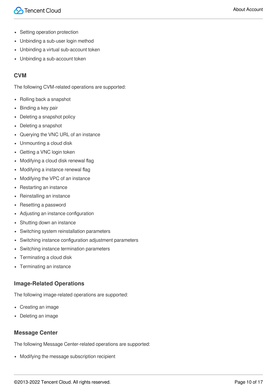- Setting operation protection
- Unbinding a sub-user login method  $\bullet$
- Unbinding a virtual sub-account token
- Unbinding a sub-account token

#### **CVM**

The following CVM-related operations are supported:

- Rolling back a snapshot
- Binding a key pair
- Deleting a snapshot policy
- Deleting a snapshot
- Querying the VNC URL of an instance
- Unmounting a cloud disk
- Getting a VNC login token
- Modifying a cloud disk renewal flag
- Modifying a instance renewal flag
- Modifying the VPC of an instance
- Restarting an instance
- Reinstalling an instance
- Resetting a password
- Adjusting an instance configuration
- Shutting down an instance
- Switching system reinstallation parameters
- Switching instance configuration adjustment parameters
- Switching instance termination parameters
- Terminating a cloud disk
- Terminating an instance

#### **Image-Related Operations**

The following image-related operations are supported:

- Creating an image
- Deleting an image

#### **Message Center**

The following Message Center-related operations are supported:

Modifying the message subscription recipient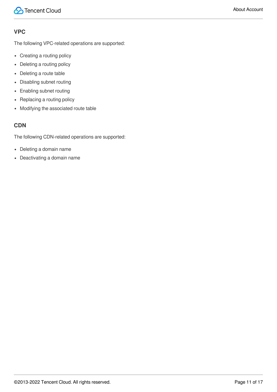#### **VPC**

The following VPC-related operations are supported:

- Creating a routing policy
- Deleting a routing policy
- Deleting a route table
- Disabling subnet routing
- Enabling subnet routing
- Replacing a routing policy
- Modifying the associated route table

#### **CDN**

The following CDN-related operations are supported:

- Deleting a domain name
- Deactivating a domain name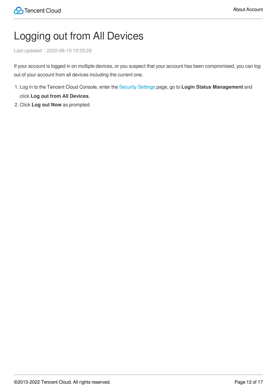# <span id="page-11-0"></span>Logging out from All Devices

Last updated:2020-06-10 10:35:28

If your account is logged in on multiple devices, or you suspect that your account has been compromised, you can log out of your account from all devices including the current one.

- 1. Log in to the Tencent Cloud Console, enter the Security [Settings](https://console.intl.cloud.tencent.com/developer/security) page, go to **Login Status Management** and click **Log out from All Devices**.
- 2. Click **Log out Now** as prompted.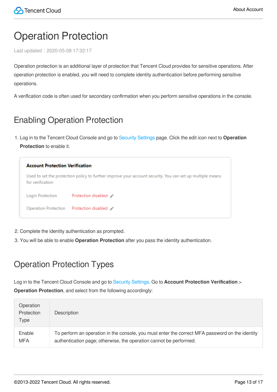# <span id="page-12-0"></span>Operation Protection

Last updated:2020-05-08 17:32:17

Operation protection is an additional layer of protection that Tencent Cloud provides for sensitive operations. After operation protection is enabled, you will need to complete identity authentication before performing sensitive operations.

A verification code is often used for secondary confirmation when you perform sensitive operations in the console.

### Enabling Operation Protection

1. Log in to the Tencent Cloud Console and go to Security [Settings](https://console.intl.cloud.tencent.com/developer/security) page. Click the edit icon next to **Operation Protection** to enable it.

| <b>Account Protection Verification</b> |                                                                                                           |  |
|----------------------------------------|-----------------------------------------------------------------------------------------------------------|--|
| for verification                       | Used to set the protection policy to further improve your account security. You can set up multiple means |  |
| Login Protection                       | Protection disabled "                                                                                     |  |
|                                        | Operation Protection Protection disabled $\rightarrow$                                                    |  |

- 2. Complete the identity authentication as prompted.
- 3. You will be able to enable **Operation Protection** after you pass the identity authentication.

### Operation Protection Types

Log in to the Tencent Cloud Console and go to [Security](https://console.intl.cloud.tencent.com/developer/security) Settings. Go to **Account Protection Verification** > **Operation Protection**, and select from the following accordingly:

| Operation<br>Protection<br>Type | Description                                                                                     |
|---------------------------------|-------------------------------------------------------------------------------------------------|
| Enable                          | To perform an operation in the console, you must enter the correct MFA password on the identity |
| <b>MFA</b>                      | authentication page; otherwise, the operation cannot be performed.                              |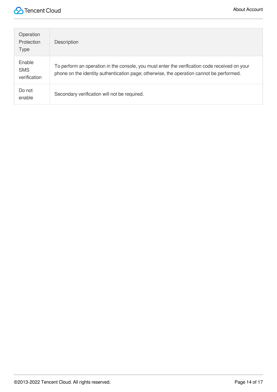

| Operation<br>Protection<br><b>Type</b> | Description                                                                                                                                                                               |
|----------------------------------------|-------------------------------------------------------------------------------------------------------------------------------------------------------------------------------------------|
| Enable<br><b>SMS</b><br>verification   | To perform an operation in the console, you must enter the verification code received on your<br>phone on the identity authentication page; otherwise, the operation cannot be performed. |
| Do not<br>enable                       | Secondary verification will not be required.                                                                                                                                              |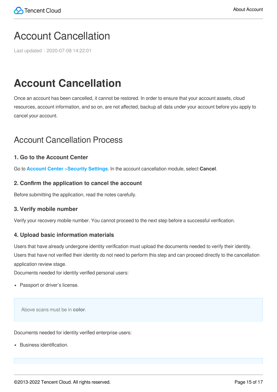### <span id="page-14-0"></span>Account Cancellation

Last updated:2020-07-08 14:22:01

### **Account Cancellation**

Once an account has been cancelled, it cannot be restored. In order to ensure that your account assets, cloud resources, account information, and so on, are not affected, backup all data under your account before you apply to cancel your account.

### Account Cancellation Process

#### **1. Go to the Account Center**

Go to **Account Center** >**Security [Settings](https://console.intl.cloud.tencent.com/developer/security)**. In the account cancellation module, select **Cancel**.

#### **2. Confirm the application to cancel the account**

Before submitting the application, read the notes carefully.

#### **3. Verify mobile number**

Verify your recovery mobile number. You cannot proceed to the next step before a successful verification.

#### **4. Upload basic information materials**

Users that have already undergone identity verification must upload the documents needed to verify their identity. Users that have not verified their identity do not need to perform this step and can proceed directly to the cancellation application review stage.

Documents needed for identity verified personal users:

• Passport or driver's license.

Above scans must be in **color**.

Documents needed for identity verified enterprise users:

Business identification.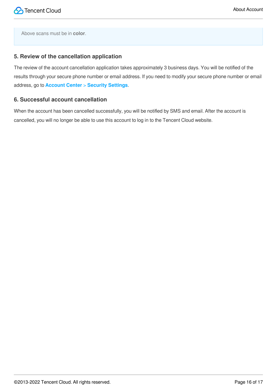Above scans must be in **color**.

#### **5. Review of the cancellation application**

The review of the account cancellation application takes approximately 3 business days. You will be notified of the results through your secure phone number or email address. If you need to modify your secure phone number or email address, go to **Account Center** > **Security [Settings](https://console.intl.cloud.tencent.com/developer/security)**.

#### **6. Successful account cancellation**

When the account has been cancelled successfully, you will be notified by SMS and email. After the account is cancelled, you will no longer be able to use this account to log in to the Tencent Cloud website.